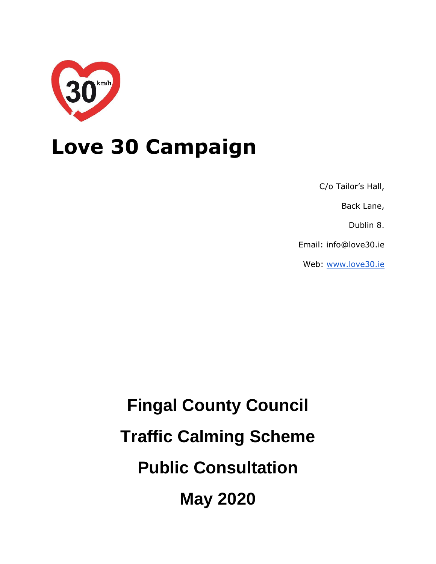

## **Love 30 Campaign**

C/o Tailor's Hall,

Back Lane,

Dublin 8.

Email: info@love30.ie

Web: [www.love30.ie](http://www.love30.ie/)

**Fingal County Council Traffic Calming Scheme Public Consultation May 2020**